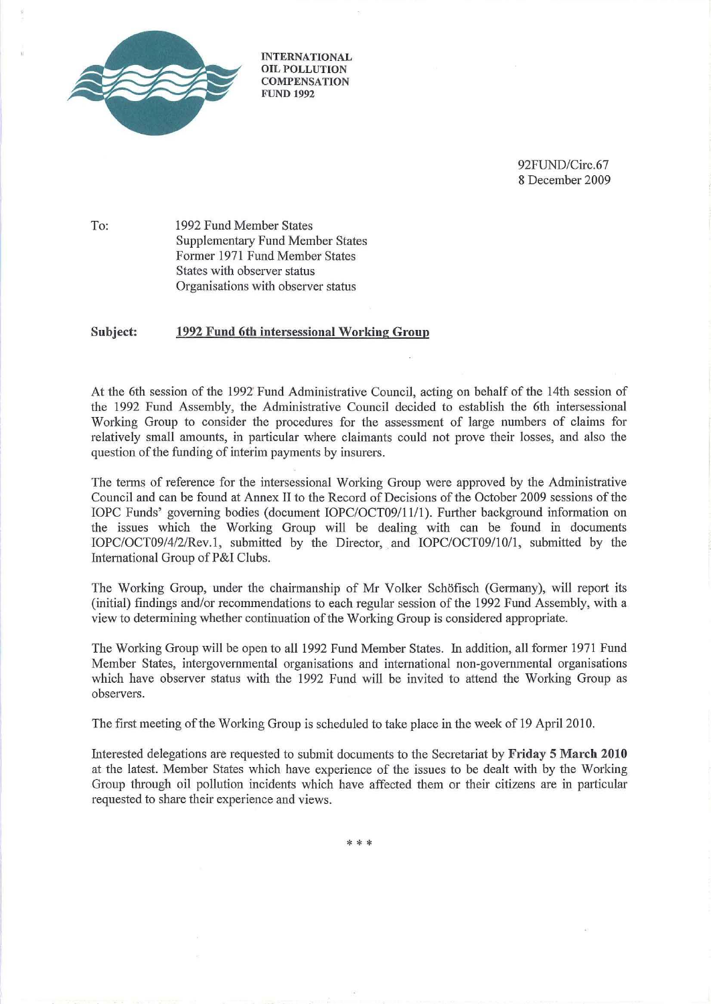

INTERNATIONAL OIL POLLUTION **COMPENSATION** FUND 1992

> 92FUND/Circ.67 8 December 2009

To: 1992 Fund Member States Supplementary Fund Member States Former 1971 Fund Member States States with observer status Organisations with observer status

#### Subject: 1992 Fund 6tb intersessional Working Group

At the 6th session of the 1992 Fund Administrative Council, acting on behalf of the 14th session of the 1992 Fund Assembly, the Administrative Council decided to establish the 6th intersessional Working Group to consider the procedures for the assessment of large numbers of claims for relatively small amounts, in particular where claimants could not prove their losses, and also the question of the funding of interim payments by insurers.

The terms of reference for the intersessional Working Group were approved by the Administrative Council and can be found at Annex Il to the Record of Decisions of the October 2009 sessions of the IOPC Funds' governing bodies (document IOPC/OCT09/11/1). Further background information on the issues which the Working Group will be dealing with can be found in documents IOPC/OCT09/4/2/Rev.1, submitted by the Director, and IOPC/OCT09/10/1, submitted by the International Group of P&l Clubs.

The Working Group, under the chairmanship of Mr Volker Sch6fisch (Germany), will report its (initial) findings and/or recommendations to each regular session of the 1992 Fund Assembly, with a view to determining whether continuation of the Working Group is considered appropriate.

The Working Group will be open to all 1992 Fund Member States. In addition, all former 1971 Fund Member States, intergovemmental organisations and international non-governmental organisations which have observer status with the 1992 Fund will be invited to attend the Working Group as observers.

The first meeting of the Working Group is scheduled to take place in the week of 19 April 2010.

Interested delegations are requested to submit documents to the Secretariat by Friday 5 March 2010 at the latest. Member States which have experience of the issues to be dealt with by the Working Group through oil pollution incidents which have affected them or their citizens are in patticular requested to share their experience and views.

\* \* \*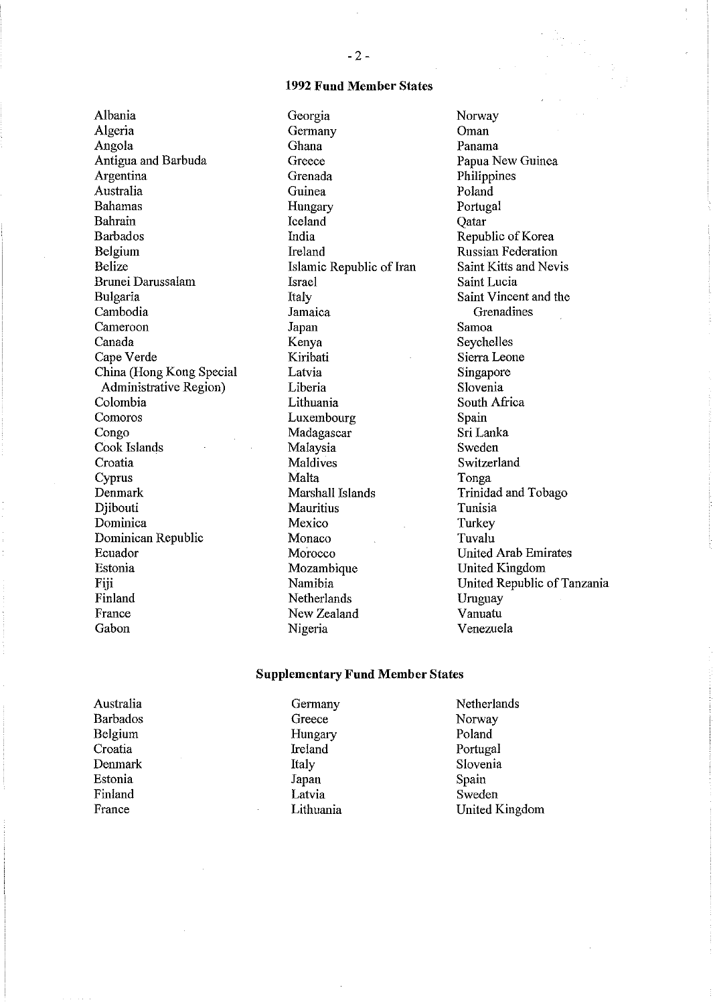### 1992 Fund Member States

Albania Algeria Angola Antigua and Barbuda Argentina Australia Bahamas Bahrain Barbados Belgium Belize Brunei Darussalam Bulgaria Cambodia Cameroon Canada Cape Verde China (Hong Kong Special Administrative Region) Colombia Comoros Congo Cook Islands Croatia Cyprus Denmark Djibouti Dominica Dominican Republic Ecuador Estonia Fiji Finland France Gabon

Georgia Germany Ghana Greece Grenada Guinea Hungary Iceland India Ireland Islamic Republic of Iran Israel Italy Jamaica Japan Kenya Kiribati Latvia Liberia Lithuania Luxembourg Madagascar Malaysia Maldives Malta Marshall Islands Mauritius Mexico Monaco Morocco Mozambique Namibia Netherlands New Zealand Nigeria

Oman Panama Papua New Guinea Philippines Poland Portugal Qatar Republic of Korea Russian Federation Saint Kitts and Nevis Saint Lucia Saint Vincent and the Grenadines Samoa Seychelles Sierra Leone Singapore Slovenia South Africa Spain Sri Lanka Sweden Switzerland Tonga Trinidad and Tobago Tunisia **Turkey** Tuvalu United Arab Emirates United Kingdom United Republic of Tanzania Uruguay Vanuatu Venezuela

Norway

# Supplementary Fund Member States

| Australia | Germany   | Netherlands    |
|-----------|-----------|----------------|
| Barbados  | Greece    | Norway         |
| Belgium   | Hungary   | Poland         |
| Croatia   | Ireland   | Portugal       |
| Denmark   | Italy     | Slovenia       |
| Estonia   | Japan     | Spain          |
| Finland   | Latvia    | Sweden         |
| France    | Lithuania | United Kingdom |
|           |           |                |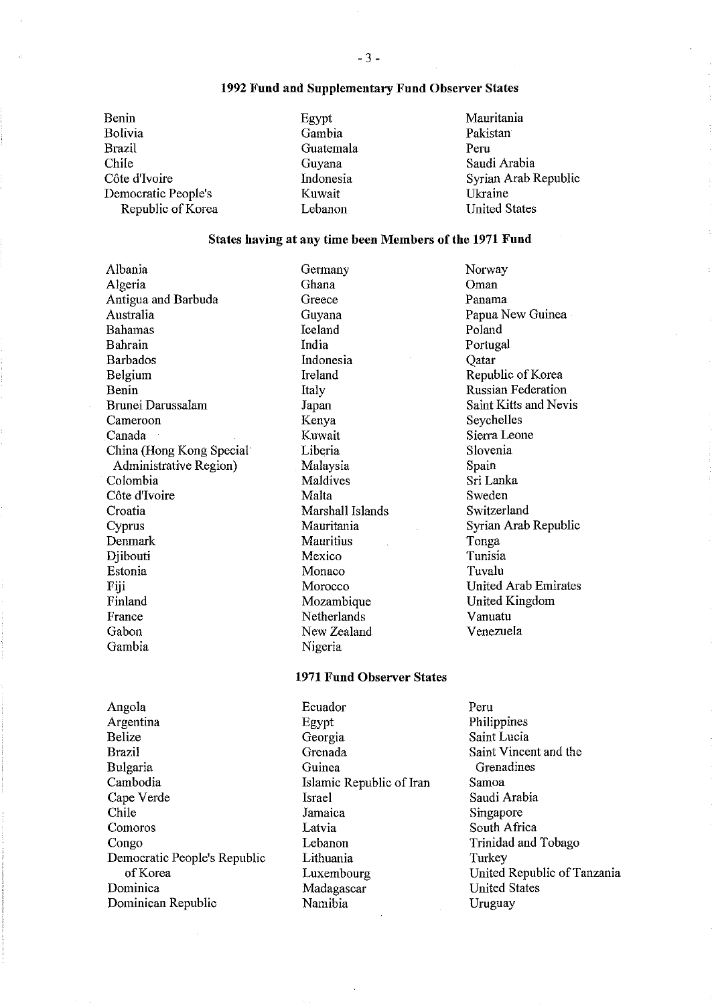## 1992 Fund and Supplementary Fund Observer States

Benin Bolivia Brazil Chile Côte d'Ivoire Democratic People's Republic of Korea Egypt Gambia Guatemala Guyana Indonesia Kuwait Lebanon

Germany

Mauritania Pakistan Peru Saudi Arabia Syrian Arab Republic Ukraine United States

# States having at any time been Members of the 1971 Fund

Albania Algeria Antigua and Barbuda Australia Bahamas Bahrain Barbados Belgium Benin Brunei Darussalam Cameroon Canada China (Hong Kong Special Administrative Region) Colombia Côte d'Ivoire Croatia Cyprus Denmark Djibouti Estonia Fiji Finland France Gabon Gambia

Ghana Greece Guyana Iceland India Indonesia Ireland Italy Japan Kenya Kuwait Liberia Malaysia Maldives Malta Marshall Islands Mauritania **Mauritius** Mexico Monaco Morocco Mozambique Netherlands New Zealand Nigeria

## 1971 Fund Observer States

Ecuador

Angola Argentina Belize Brazil Bulgaria Cambodia Cape Verde Chile Comoros Congo Democratic People's Republic ofKorea Dominica Dominican Republic

Egypt Georgia Grenada Guinea Islamic Republic of Iran Israel Jamaica Latvia Lebanon Lithuania Luxembourg Madagascar Namibia

Norway Oman Panama Papua New Guinea Poland Portugal **O**atar Republic of Korea Russian Federation Saint Kitts and Nevis Seychelles Sierra Leone Slovenia Spain Sri Lanka Sweden Switzerland Syrian Arab Republic Tonga Tunisia Tuvalu United Arab Emirates United Kingdom Vanuatu Venezuela

Peru Philippines Saint Lucia Saint Vincent and the Grenadines Samoa Saudi Arabia Singapore South Africa Trinidad and Tobago Turkey United Republic of Tanzania United States Uruguay